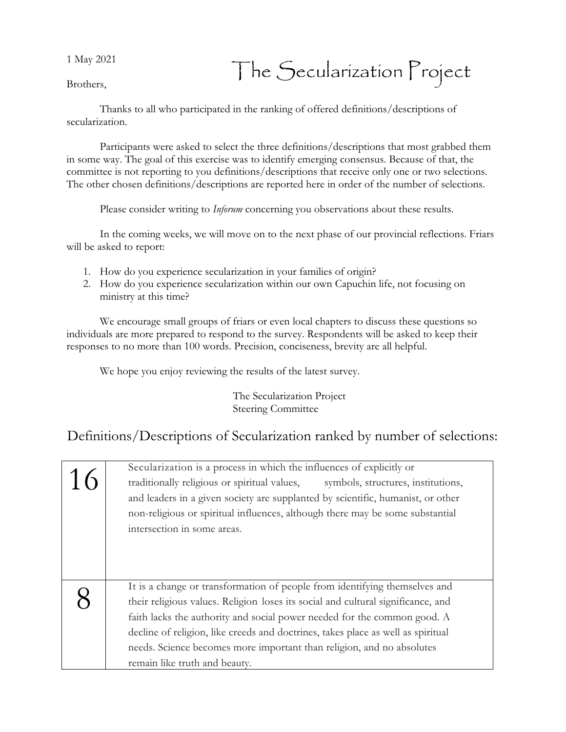1 May 2021

## The Secularization Project

Brothers,

Thanks to all who participated in the ranking of offered definitions/descriptions of secularization.

Participants were asked to select the three definitions/descriptions that most grabbed them in some way. The goal of this exercise was to identify emerging consensus. Because of that, the committee is not reporting to you definitions/descriptions that receive only one or two selections. The other chosen definitions/descriptions are reported here in order of the number of selections.

Please consider writing to *Inforum* concerning you observations about these results.

In the coming weeks, we will move on to the next phase of our provincial reflections. Friars will be asked to report:

- 1. How do you experience secularization in your families of origin?
- 2. How do you experience secularization within our own Capuchin life, not focusing on ministry at this time?

We encourage small groups of friars or even local chapters to discuss these questions so individuals are more prepared to respond to the survey. Respondents will be asked to keep their responses to no more than 100 words. Precision, conciseness, brevity are all helpful.

We hope you enjoy reviewing the results of the latest survey.

The Secularization Project Steering Committee

## Definitions/Descriptions of Secularization ranked by number of selections:

| Secularization is a process in which the influences of explicitly or<br>traditionally religious or spiritual values, symbols, structures, institutions,<br>and leaders in a given society are supplanted by scientific, humanist, or other<br>non-religious or spiritual influences, although there may be some substantial<br>intersection in some areas.                                                                               |
|------------------------------------------------------------------------------------------------------------------------------------------------------------------------------------------------------------------------------------------------------------------------------------------------------------------------------------------------------------------------------------------------------------------------------------------|
| It is a change or transformation of people from identifying themselves and<br>their religious values. Religion loses its social and cultural significance, and<br>faith lacks the authority and social power needed for the common good. A<br>decline of religion, like creeds and doctrines, takes place as well as spiritual<br>needs. Science becomes more important than religion, and no absolutes<br>remain like truth and beauty. |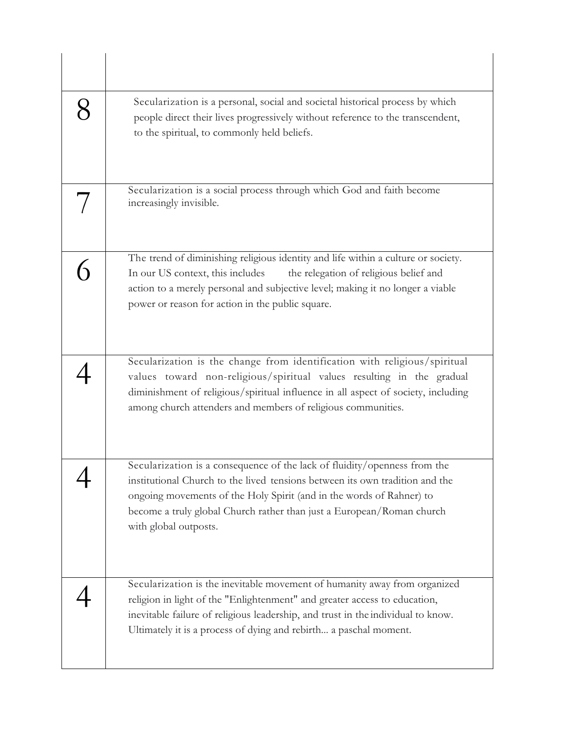| Secularization is a personal, social and societal historical process by which<br>people direct their lives progressively without reference to the transcendent,<br>to the spiritual, to commonly held beliefs.                                                                                                                      |
|-------------------------------------------------------------------------------------------------------------------------------------------------------------------------------------------------------------------------------------------------------------------------------------------------------------------------------------|
| Secularization is a social process through which God and faith become<br>increasingly invisible.                                                                                                                                                                                                                                    |
| The trend of diminishing religious identity and life within a culture or society.<br>In our US context, this includes<br>the relegation of religious belief and<br>action to a merely personal and subjective level; making it no longer a viable<br>power or reason for action in the public square.                               |
| Secularization is the change from identification with religious/spiritual<br>values toward non-religious/spiritual values resulting in the gradual<br>diminishment of religious/spiritual influence in all aspect of society, including<br>among church attenders and members of religious communities.                             |
| Secularization is a consequence of the lack of fluidity/openness from the<br>institutional Church to the lived tensions between its own tradition and the<br>ongoing movements of the Holy Spirit (and in the words of Rahner) to<br>become a truly global Church rather than just a European/Roman church<br>with global outposts. |
| Secularization is the inevitable movement of humanity away from organized<br>religion in light of the "Enlightenment" and greater access to education,<br>inevitable failure of religious leadership, and trust in the individual to know.<br>Ultimately it is a process of dying and rebirth a paschal moment.                     |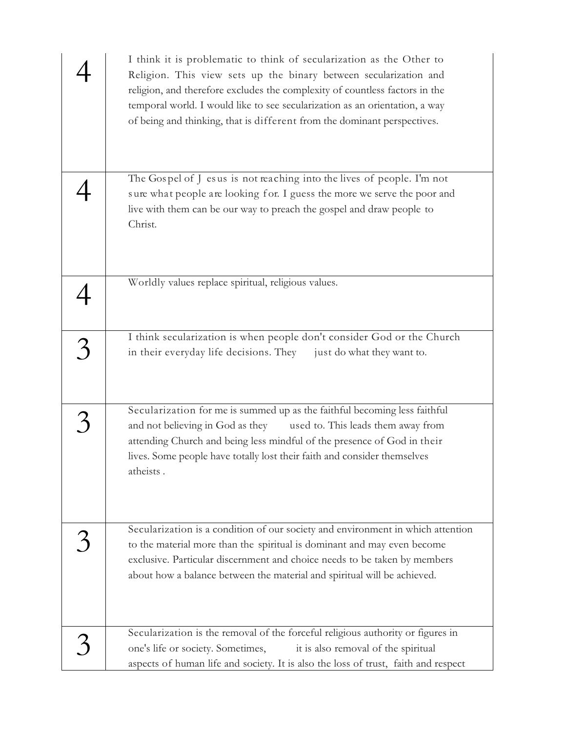| I think it is problematic to think of secularization as the Other to<br>Religion. This view sets up the binary between secularization and<br>religion, and therefore excludes the complexity of countless factors in the<br>temporal world. I would like to see secularization as an orientation, a way<br>of being and thinking, that is different from the dominant perspectives. |
|-------------------------------------------------------------------------------------------------------------------------------------------------------------------------------------------------------------------------------------------------------------------------------------------------------------------------------------------------------------------------------------|
| The Gospel of J esus is not reaching into the lives of people. I'm not<br>sure what people are looking for. I guess the more we serve the poor and<br>live with them can be our way to preach the gospel and draw people to<br>Christ.                                                                                                                                              |
| Worldly values replace spiritual, religious values.                                                                                                                                                                                                                                                                                                                                 |
| I think secularization is when people don't consider God or the Church<br>in their everyday life decisions. They just do what they want to.                                                                                                                                                                                                                                         |
| Secularization for me is summed up as the faithful becoming less faithful<br>and not believing in God as they<br>used to. This leads them away from<br>attending Church and being less mindful of the presence of God in their<br>lives. Some people have totally lost their faith and consider themselves<br>atheists.                                                             |
| Secularization is a condition of our society and environment in which attention<br>to the material more than the spiritual is dominant and may even become<br>exclusive. Particular discernment and choice needs to be taken by members<br>about how a balance between the material and spiritual will be achieved.                                                                 |
| Secularization is the removal of the forceful religious authority or figures in<br>one's life or society. Sometimes,<br>it is also removal of the spiritual<br>aspects of human life and society. It is also the loss of trust, faith and respect                                                                                                                                   |